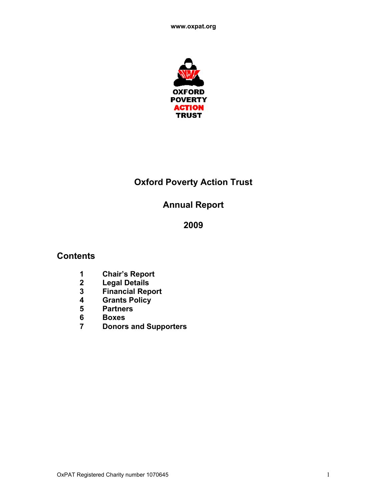

# **Oxford Poverty Action Trust**

# **Annual Report**

# 

# **Contents**

- **Chair's Report**
- **Legal Details**
- **Financial Report**
- **Grants Policy**
- **Partners**
- **Boxes**
- **Donors and Supporters**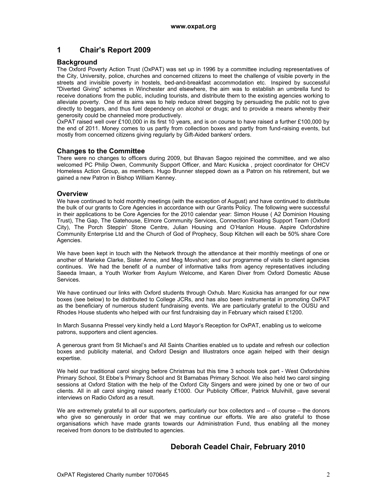## **1 Chair's Report 2009**

#### **Background**

The Oxford Poverty Action Trust (OxPAT) was set up in 1996 by a committee including representatives of the City, University, police, churches and concerned citizens to meet the challenge of visible poverty in the streets and invisible poverty in hostels, bed-and-breakfast accommodation etc. Inspired by successful "Diverted Giving" schemes in Winchester and elsewhere, the aim was to establish an umbrella fund to receive donations from the public, including tourists, and distribute them to the existing agencies working to alleviate poverty. One of its aims was to help reduce street begging by persuading the public not to give directly to beggars, and thus fuel dependency on alcohol or drugs; and to provide a means whereby their generosity could be channeled more productively.

OxPAT raised well over £100,000 in its first 10 years, and is on course to have raised a further £100,000 by the end of 2011. Money comes to us partly from collection boxes and partly from fund-raising events, but mostly from concerned citizens giving regularly by Gift-Aided bankers' orders.

#### **Changes to the Committee**

There were no changes to officers during 2009, but Bhavan Sagoo rejoined the committee, and we also welcomed PC Philip Owen, Community Support Officer, and Marc Kusicka , project coordinator for OHCV Homeless Action Group, as members. Hugo Brunner stepped down as a Patron on his retirement, but we gained a new Patron in Bishop William Kenney.

#### **Overview**

We have continued to hold monthly meetings (with the exception of August) and have continued to distribute the bulk of our grants to Core Agencies in accordance with our Grants Policy. The following were successful in their applications to be Core Agencies for the 2010 calendar year: Simon House ( A2 Dominion Housing Trust), The Gap, The Gatehouse, Elmore Community Services, Connection Floating Support Team (Oxford City), The Porch Steppin' Stone Centre, Julian Housing and O'Hanlon House. Aspire Oxfordshire Community Enterprise Ltd and the Church of God of Prophecy, Soup Kitchen will each be 50% share Core Agencies.

We have been kept in touch with the Network through the attendance at their monthly meetings of one or another of Marieke Clarke, Sister Anne, and Meg Movshon; and our programme of visits to client agencies continues. We had the benefit of a number of informative talks from agency representatives including Saeeda Imaan, a Youth Worker from Asylum Welcome, and Karen Diver from Oxford Domestic Abuse Services.

We have continued our links with Oxford students through Oxhub. Marc Kusicka has arranged for our new boxes (see below) to be distributed to College JCRs, and has also been instrumental in promoting OxPAT as the beneficiary of numerous student fundraising events. We are particularly grateful to the OUSU and Rhodes House students who helped with our first fundraising day in February which raised £1200.

In March Susanna Pressel very kindly held a Lord Mayor's Reception for OxPAT, enabling us to welcome patrons, supporters and client agencies.

A generous grant from St Michael's and All Saints Charities enabled us to update and refresh our collection boxes and publicity material, and Oxford Design and Illustrators once again helped with their design expertise.

We held our traditional carol singing before Christmas but this time 3 schools took part - West Oxfordshire Primary School, St Ebbe's Primary School and St Barnabas Primary School. We also held two carol singing sessions at Oxford Station with the help of the Oxford City Singers and were joined by one or two of our clients. All in all carol singing raised nearly £1000. Our Publicity Officer, Patrick Mulvihill, gave several interviews on Radio Oxford as a result.

We are extremely grateful to all our supporters, particularly our box collectors and – of course – the donors who give so generously in order that we may continue our efforts. We are also grateful to those organisations which have made grants towards our Administration Fund, thus enabling all the money received from donors to be distributed to agencies.

## **Deborah Ceadel Chair, February 2010**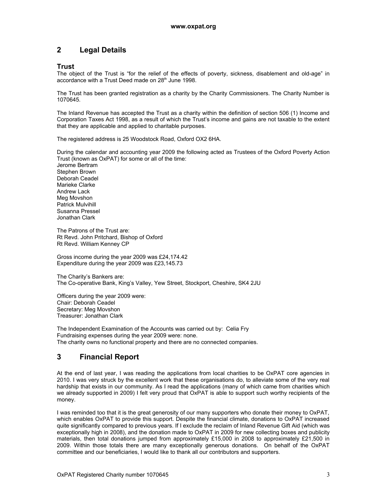# **2 Legal Details**

#### **Trust**

The object of the Trust is "for the relief of the effects of poverty, sickness, disablement and old-age" in accordance with a Trust Deed made on 28<sup>th</sup> June 1998.

The Trust has been granted registration as a charity by the Charity Commissioners. The Charity Number is 1070645.

The Inland Revenue has accepted the Trust as a charity within the definition of section 506 (1) Income and Corporation Taxes Act 1998, as a result of which the Trust's income and gains are not taxable to the extent that they are applicable and applied to charitable purposes.

The registered address is 25 Woodstock Road, Oxford OX2 6HA.

During the calendar and accounting year 2009 the following acted as Trustees of the Oxford Poverty Action Trust (known as OxPAT) for some or all of the time: Jerome Bertram Stephen Brown Deborah Ceadel Marieke Clarke Andrew Lack Meg Movshon Patrick Mulvihill Susanna Pressel Jonathan Clark

The Patrons of the Trust are: Rt Revd. John Pritchard, Bishop of Oxford Rt Revd. William Kenney CP

Gross income during the year 2009 was £24,174.42 Expenditure during the year 2009 was £23,145.73

The Charity's Bankers are: The Co-operative Bank, King's Valley, Yew Street, Stockport, Cheshire, SK4 2JU

Officers during the year 2009 were: Chair: Deborah Ceadel Secretary: Meg Movshon Treasurer: Jonathan Clark

The Independent Examination of the Accounts was carried out by: Celia Fry Fundraising expenses during the year 2009 were: none. The charity owns no functional property and there are no connected companies.

# **3 Financial Report**

At the end of last year, I was reading the applications from local charities to be OxPAT core agencies in 2010. I was very struck by the excellent work that these organisations do, to alleviate some of the very real hardship that exists in our community. As I read the applications (many of which came from charities which we already supported in 2009) I felt very proud that OxPAT is able to support such worthy recipients of the money.

I was reminded too that it is the great generosity of our many supporters who donate their money to OxPAT, which enables OxPAT to provide this support. Despite the financial climate, donations to OxPAT increased quite significantly compared to previous years. If I exclude the reclaim of Inland Revenue Gift Aid (which was exceptionally high in 2008), and the donation made to OxPAT in 2009 for new collecting boxes and publicity materials, then total donations jumped from approximately £15,000 in 2008 to approximately £21,500 in 2009. Within those totals there are many exceptionally generous donations. On behalf of the OxPAT committee and our beneficiaries, I would like to thank all our contributors and supporters.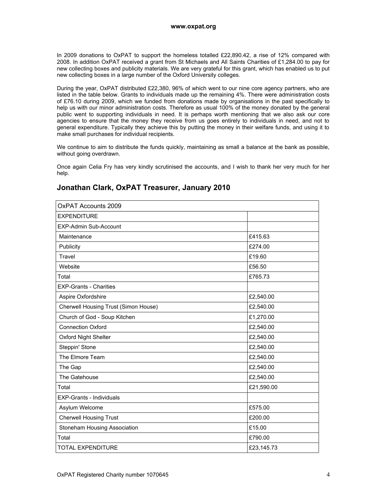In 2009 donations to OxPAT to support the homeless totalled £22,890.42, a rise of 12% compared with 2008. In addition OxPAT received a grant from St Michaels and All Saints Charities of £1,284.00 to pay for new collecting boxes and publicity materials. We are very grateful for this grant, which has enabled us to put new collecting boxes in a large number of the Oxford University colleges.

During the year, OxPAT distributed £22,380, 96% of which went to our nine core agency partners, who are listed in the table below. Grants to individuals made up the remaining 4%. There were administration costs of £76.10 during 2009, which we funded from donations made by organisations in the past specifically to help us with our minor administration costs. Therefore as usual 100% of the money donated by the general public went to supporting individuals in need. It is perhaps worth mentioning that we also ask our core agencies to ensure that the money they receive from us goes entirely to individuals in need, and not to general expenditure. Typically they achieve this by putting the money in their welfare funds, and using it to make small purchases for individual recipients.

We continue to aim to distribute the funds quickly, maintaining as small a balance at the bank as possible, without going overdrawn.

Once again Celia Fry has very kindly scrutinised the accounts, and I wish to thank her very much for her help.

| <b>OxPAT Accounts 2009</b>           |            |
|--------------------------------------|------------|
| <b>EXPENDITURE</b>                   |            |
| <b>EXP-Admin Sub-Account</b>         |            |
| Maintenance                          | £415.63    |
| Publicity                            | £274.00    |
| Travel                               | £19.60     |
| Website                              | £56.50     |
| Total                                | £765.73    |
| <b>EXP-Grants - Charities</b>        |            |
| Aspire Oxfordshire                   | £2,540.00  |
| Cherwell Housing Trust (Simon House) | £2,540.00  |
| Church of God - Soup Kitchen         | £1,270.00  |
| <b>Connection Oxford</b>             | £2,540.00  |
| Oxford Night Shelter                 | £2,540.00  |
| Steppin' Stone                       | £2,540.00  |
| The Elmore Team                      | £2,540.00  |
| The Gap                              | £2,540.00  |
| The Gatehouse                        | £2,540.00  |
| Total                                | £21,590.00 |
| <b>EXP-Grants - Individuals</b>      |            |
| Asylum Welcome                       | £575.00    |
| <b>Cherwell Housing Trust</b>        | £200.00    |
| Stoneham Housing Association         | £15.00     |
| Total                                | £790.00    |
| <b>TOTAL EXPENDITURE</b>             | £23,145.73 |

# **Jonathan Clark, OxPAT Treasurer, January 2010**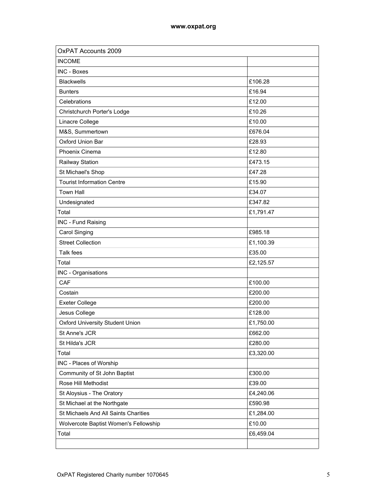| <b>OxPAT Accounts 2009</b>            |           |
|---------------------------------------|-----------|
| <b>INCOME</b>                         |           |
| <b>INC - Boxes</b>                    |           |
| <b>Blackwells</b>                     | £106.28   |
| <b>Bunters</b>                        | £16.94    |
| Celebrations                          | £12.00    |
| Christchurch Porter's Lodge           | £10.26    |
| Linacre College                       | £10.00    |
| M&S, Summertown                       | £676.04   |
| Oxford Union Bar                      | £28.93    |
| Phoenix Cinema                        | £12.80    |
| Railway Station                       | £473.15   |
| St Michael's Shop                     | £47.28    |
| <b>Tourist Information Centre</b>     | £15.90    |
| <b>Town Hall</b>                      | £34.07    |
| Undesignated                          | £347.82   |
| Total                                 | £1,791.47 |
| INC - Fund Raising                    |           |
| Carol Singing                         | £985.18   |
| <b>Street Collection</b>              | £1,100.39 |
| Talk fees                             | £35.00    |
| Total                                 | £2,125.57 |
| INC - Organisations                   |           |
| CAF                                   | £100.00   |
| Costain                               | £200.00   |
| <b>Exeter College</b>                 | £200.00   |
| Jesus College                         | £128.00   |
| Oxford University Student Union       | £1,750.00 |
| St Anne's JCR                         | £662.00   |
| St Hilda's JCR                        | £280.00   |
| Total                                 | £3,320.00 |
| INC - Places of Worship               |           |
| Community of St John Baptist          | £300.00   |
| Rose Hill Methodist                   | £39.00    |
| St Aloysius - The Oratory             | £4,240.06 |
| St Michael at the Northgate           | £590.98   |
| St Michaels And All Saints Charities  | £1,284.00 |
| Wolvercote Baptist Women's Fellowship | £10.00    |
| Total                                 | £6,459.04 |
|                                       |           |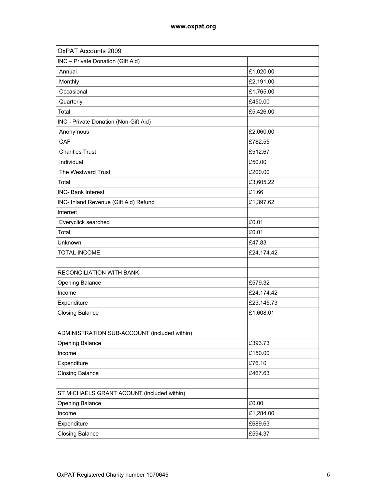| <b>OxPAT Accounts 2009</b>                   |            |
|----------------------------------------------|------------|
| INC - Private Donation (Gift Aid)            |            |
| Annual                                       | £1,020.00  |
| Monthly                                      | £2,191.00  |
| Occasional                                   | £1,765.00  |
| Quarterly                                    | £450.00    |
| Total                                        | £5,426.00  |
| INC - Private Donation (Non-Gift Aid)        |            |
| Anonymous                                    | £2,060.00  |
| CAF                                          | £782.55    |
| <b>Charities Trust</b>                       | £512.67    |
| Individual                                   | £50.00     |
| The Westward Trust                           | £200.00    |
| Total                                        | £3,605.22  |
| <b>INC- Bank Interest</b>                    | £1.66      |
| INC- Inland Revenue (Gift Aid) Refund        | £1,397.62  |
| Internet                                     |            |
| Everyclick searched                          | £0.01      |
| Total                                        | £0.01      |
| Unknown                                      | £47.83     |
| <b>TOTAL INCOME</b>                          | £24,174.42 |
|                                              |            |
| RECONCILIATION WITH BANK                     |            |
| <b>Opening Balance</b>                       | £579.32    |
| Income                                       | £24,174.42 |
| Expenditure                                  | £23,145.73 |
| <b>Closing Balance</b>                       | £1,608.01  |
|                                              |            |
| ADMINISTRATION SUB-ACCOUNT (included within) |            |
| Opening Balance                              | £393.73    |
| Income                                       | £150.00    |
| Expenditure                                  | £76.10     |
| <b>Closing Balance</b>                       | £467.63    |
|                                              |            |
| ST MICHAELS GRANT ACOUNT (included within)   |            |
| Opening Balance                              | £0.00      |
| Income                                       | £1,284.00  |
| Expenditure                                  | £689.63    |
| <b>Closing Balance</b>                       | £594.37    |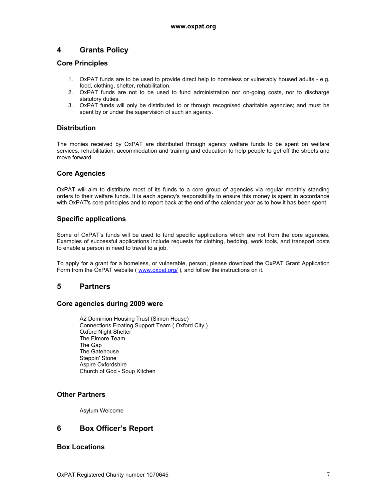# **4 Grants Policy**

#### **Core Principles**

- 1. OxPAT funds are to be used to provide direct help to homeless or vulnerably housed adults e.g. food, clothing, shelter, rehabilitation.
- 2. OxPAT funds are not to be used to fund administration nor on-going costs, nor to discharge statutory duties.
- 3. OxPAT funds will only be distributed to or through recognised charitable agencies; and must be spent by or under the supervision of such an agency.

## **Distribution**

The monies received by OxPAT are distributed through agency welfare funds to be spent on welfare services, rehabilitation, accommodation and training and education to help people to get off the streets and move forward.

## **Core Agencies**

OxPAT will aim to distribute most of its funds to a core group of agencies via regular monthly standing orders to their welfare funds. It is each agency's responsibility to ensure this money is spent in accordance with OxPAT's core principles and to report back at the end of the calendar year as to how it has been spent.

## **Specific applications**

Some of OxPAT's funds will be used to fund specific applications which are not from the core agencies. Examples of successful applications include requests for clothing, bedding, work tools, and transport costs to enable a person in need to travel to a job.

To apply for a grant for a homeless, or vulnerable, person, please download the OxPAT Grant Application Form from the OxPAT website ( www.oxpat.org/), and follow the instructions on it.

## **5 Partners**

#### **Core agencies during 2009 were**

A2 Dominion Housing Trust (Simon House) Connections Floating Support Team ( Oxford City ) Oxford Night Shelter The Elmore Team The Gap The Gatehouse Steppin' Stone Aspire Oxfordshire Church of God - Soup Kitchen

## **Other Partners**

Asylum Welcome

## **6 Box Officer's Report**

## **Box Locations**